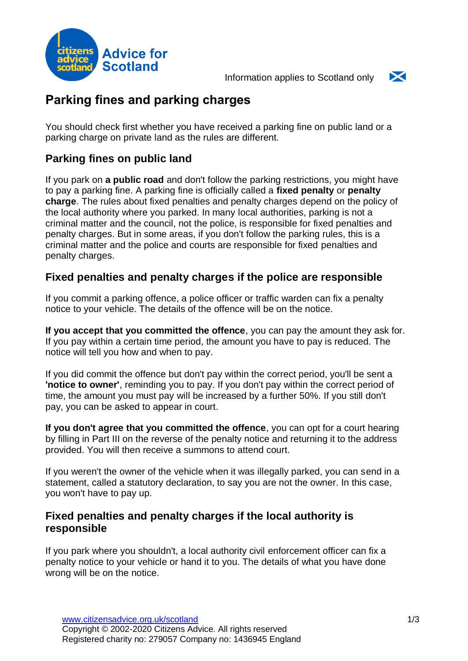

Information applies to Scotland only



# **Parking fines and parking charges**

You should check first whether you have received a parking fine on public land or a parking charge on private land as the rules are different.

# **Parking fines on public land**

If you park on **a public road** and don't follow the parking restrictions, you might have to pay a parking fine. A parking fine is officially called a **fixed penalty** or **penalty charge**. The rules about fixed penalties and penalty charges depend on the policy of the local authority where you parked. In many local authorities, parking is not a criminal matter and the council, not the police, is responsible for fixed penalties and penalty charges. But in some areas, if you don't follow the parking rules, this is a criminal matter and the police and courts are responsible for fixed penalties and penalty charges.

### **Fixed penalties and penalty charges if the police are responsible**

If you commit a parking offence, a police officer or traffic warden can fix a penalty notice to your vehicle. The details of the offence will be on the notice.

**If you accept that you committed the offence**, you can pay the amount they ask for. If you pay within a certain time period, the amount you have to pay is reduced. The notice will tell you how and when to pay.

If you did commit the offence but don't pay within the correct period, you'll be sent a **'notice to owner'**, reminding you to pay. If you don't pay within the correct period of time, the amount you must pay will be increased by a further 50%. If you still don't pay, you can be asked to appear in court.

**If you don't agree that you committed the offence**, you can opt for a court hearing by filling in Part III on the reverse of the penalty notice and returning it to the address provided. You will then receive a summons to attend court.

If you weren't the owner of the vehicle when it was illegally parked, you can send in a statement, called a statutory declaration, to say you are not the owner. In this case, you won't have to pay up.

### **Fixed penalties and penalty charges if the local authority is responsible**

If you park where you shouldn't, a local authority civil enforcement officer can fix a penalty notice to your vehicle or hand it to you. The details of what you have done wrong will be on the notice.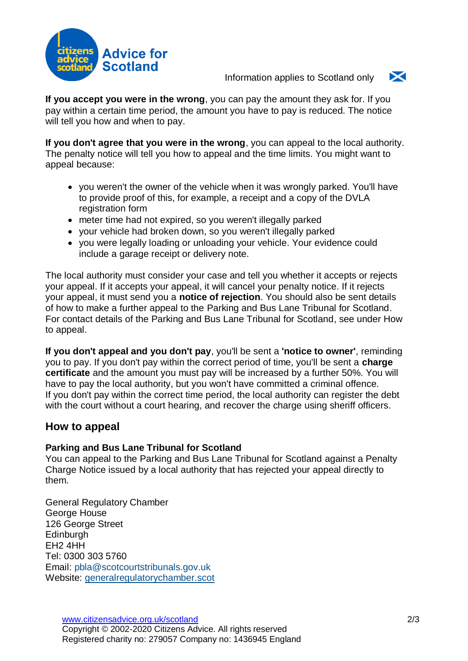

Information applies to Scotland only



**If you accept you were in the wrong**, you can pay the amount they ask for. If you pay within a certain time period, the amount you have to pay is reduced. The notice will tell you how and when to pay.

**If you don't agree that you were in the wrong**, you can appeal to the local authority. The penalty notice will tell you how to appeal and the time limits. You might want to appeal because:

- vou weren't the owner of the vehicle when it was wrongly parked. You'll have to provide proof of this, for example, a receipt and a copy of the DVLA registration form
- meter time had not expired, so you weren't illegally parked
- your vehicle had broken down, so you weren't illegally parked
- you were legally loading or unloading your vehicle. Your evidence could include a garage receipt or delivery note.

The local authority must consider your case and tell you whether it accepts or rejects your appeal. If it accepts your appeal, it will cancel your penalty notice. If it rejects your appeal, it must send you a **notice of rejection**. You should also be sent details of how to make a further appeal to the Parking and Bus Lane Tribunal for Scotland. For contact details of the Parking and Bus Lane Tribunal for Scotland, see under [How](#page-1-0) [to appeal.](#page-1-0)

**If you don't appeal and you don't pay**, you'll be sent a **'notice to owner'**, reminding you to pay. If you don't pay within the correct period of time, you'll be sent a **charge certificate** and the amount you must pay will be increased by a further 50%. You will have to pay the local authority, but you won't have committed a criminal offence. If you don't pay within the correct time period, the local authority can register the debt with the court without a court hearing, and recover the charge using sheriff officers.

### <span id="page-1-0"></span>**How to appeal**

#### **Parking and Bus Lane Tribunal for Scotland**

You can appeal to the Parking and Bus Lane Tribunal for Scotland against a Penalty Charge Notice issued by a local authority that has rejected your appeal directly to them.

General Regulatory Chamber George House 126 George Street Edinburgh EH2 4HH Tel: 0300 303 5760 Email: [pbla@scotcourtstribunals.gov.uk](mailto:pbla@scotcourtstribunals.gov.uk) Website: [generalregulatorychamber.scot](https://www.generalregulatorychamber.scot/home/parkingandbuslaneappeals)